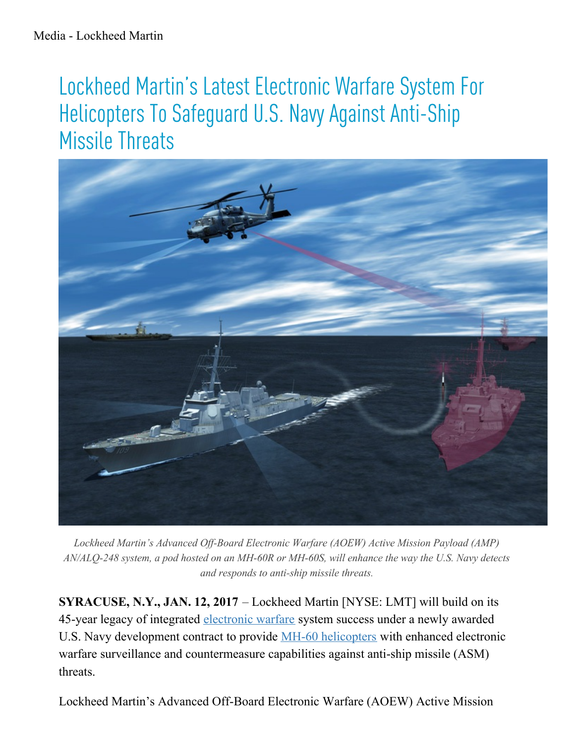## Lockheed Martin's Latest Electronic Warfare System For Helicopters To Safeguard U.S. Navy Against Anti-Ship Missile Threats



Lockheed Martin's Advanced Off-Board Electronic Warfare (AOEW) Active Mission Payload (AMP) AN/ALQ-248 system, a pod hosted on an MH-60R or MH-60S, will enhance the way the U.S. Navy detects and responds to anti-ship missile threats.

**SYRACUSE, N.Y., JAN. 12, 2017** – Lockheed Martin [NYSE: LMT] will build on its 45-year legacy of integrated [electronic](http://lockheedmartin.com/us/products/electronic-warfare.html) warfare system success under a newly awarded U.S. Navy development contract to provide **MH-60** [helicopters](http://lockheedmartin.com/us/products/mh60r.html) with enhanced electronic warfare surveillance and countermeasure capabilities against anti-ship missile (ASM) threats.

Lockheed Martin's Advanced Off-Board Electronic Warfare (AOEW) Active Mission